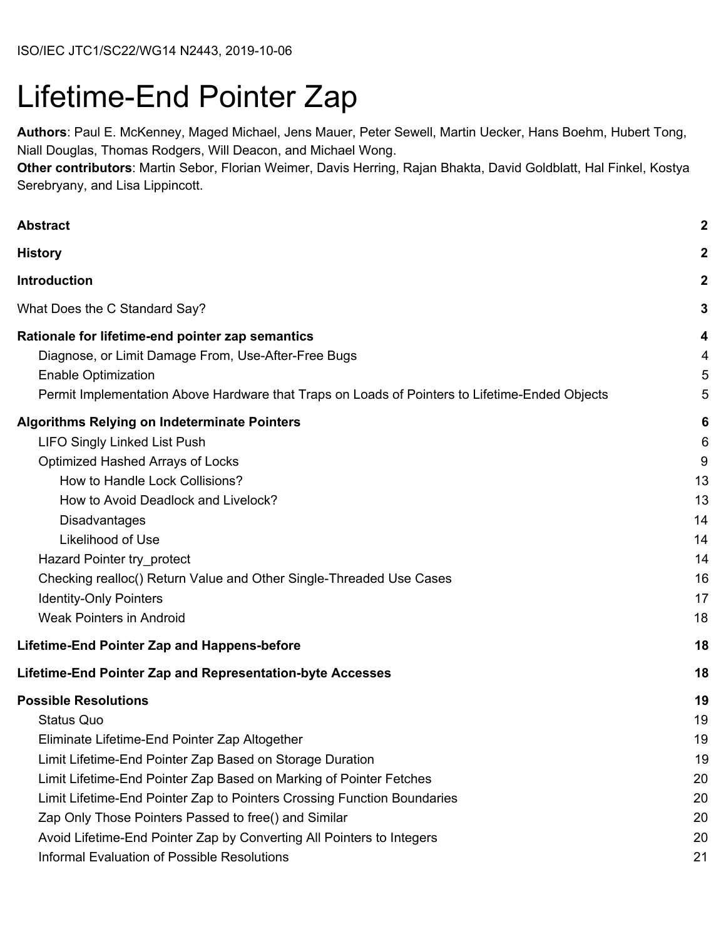# Lifetime-End Pointer Zap

**Authors**: Paul E. McKenney, Maged Michael, Jens Mauer, Peter Sewell, Martin Uecker, Hans Boehm, Hubert Tong, Niall Douglas, Thomas Rodgers, Will Deacon, and Michael Wong.

**Other contributors**: Martin Sebor, Florian Weimer, Davis Herring, Rajan Bhakta, David Goldblatt, Hal Finkel, Kostya Serebryany, and Lisa Lippincott.

| <b>Abstract</b>                                                                                                                                                                                                                                                                                                                                                                                                                                                                                | $\boldsymbol{2}$                                            |
|------------------------------------------------------------------------------------------------------------------------------------------------------------------------------------------------------------------------------------------------------------------------------------------------------------------------------------------------------------------------------------------------------------------------------------------------------------------------------------------------|-------------------------------------------------------------|
| <b>History</b>                                                                                                                                                                                                                                                                                                                                                                                                                                                                                 | $\boldsymbol{2}$                                            |
| <b>Introduction</b>                                                                                                                                                                                                                                                                                                                                                                                                                                                                            | $\mathbf 2$                                                 |
| What Does the C Standard Say?                                                                                                                                                                                                                                                                                                                                                                                                                                                                  | 3                                                           |
| Rationale for lifetime-end pointer zap semantics<br>Diagnose, or Limit Damage From, Use-After-Free Bugs<br><b>Enable Optimization</b><br>Permit Implementation Above Hardware that Traps on Loads of Pointers to Lifetime-Ended Objects                                                                                                                                                                                                                                                        | 4<br>4<br>5<br>5                                            |
| <b>Algorithms Relying on Indeterminate Pointers</b><br><b>LIFO Singly Linked List Push</b><br>Optimized Hashed Arrays of Locks<br>How to Handle Lock Collisions?<br>How to Avoid Deadlock and Livelock?<br><b>Disadvantages</b><br>Likelihood of Use<br>Hazard Pointer try_protect<br>Checking realloc() Return Value and Other Single-Threaded Use Cases<br><b>Identity-Only Pointers</b><br><b>Weak Pointers in Android</b>                                                                  | 6<br>6<br>9<br>13<br>13<br>14<br>14<br>14<br>16<br>17<br>18 |
| Lifetime-End Pointer Zap and Happens-before                                                                                                                                                                                                                                                                                                                                                                                                                                                    | 18                                                          |
| Lifetime-End Pointer Zap and Representation-byte Accesses                                                                                                                                                                                                                                                                                                                                                                                                                                      | 18                                                          |
| <b>Possible Resolutions</b><br><b>Status Quo</b><br>Eliminate Lifetime-End Pointer Zap Altogether<br>Limit Lifetime-End Pointer Zap Based on Storage Duration<br>Limit Lifetime-End Pointer Zap Based on Marking of Pointer Fetches<br>Limit Lifetime-End Pointer Zap to Pointers Crossing Function Boundaries<br>Zap Only Those Pointers Passed to free() and Similar<br>Avoid Lifetime-End Pointer Zap by Converting All Pointers to Integers<br>Informal Evaluation of Possible Resolutions | 19<br>19<br>19<br>19<br>20<br>20<br>20<br>20<br>21          |
|                                                                                                                                                                                                                                                                                                                                                                                                                                                                                                |                                                             |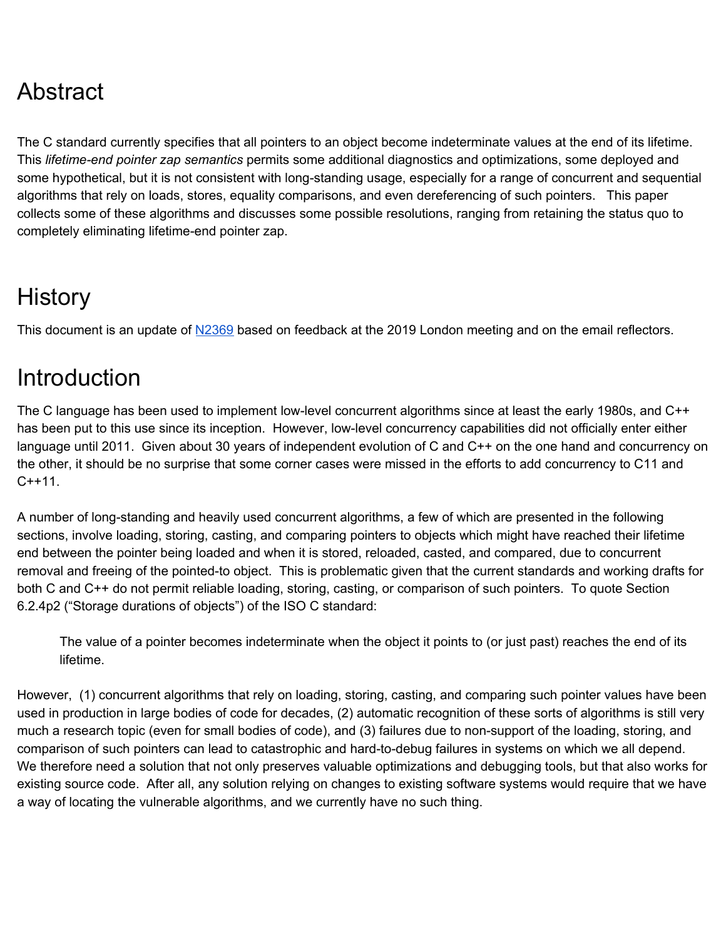## <span id="page-1-0"></span>Abstract

The C standard currently specifies that all pointers to an object become indeterminate values at the end of its lifetime. This *lifetime-end pointer zap semantics* permits some additional diagnostics and optimizations, some deployed and some hypothetical, but it is not consistent with long-standing usage, especially for a range of concurrent and sequential algorithms that rely on loads, stores, equality comparisons, and even dereferencing of such pointers. This paper collects some of these algorithms and discusses some possible resolutions, ranging from retaining the status quo to completely eliminating lifetime-end pointer zap.

## <span id="page-1-1"></span>**History**

<span id="page-1-2"></span>This document is an update of [N2369](http://www.open-std.org/jtc1/sc22/wg14/www/docs/n2369.pdf) based on feedback at the 2019 London meeting and on the email reflectors.

## **Introduction**

The C language has been used to implement low-level concurrent algorithms since at least the early 1980s, and C++ has been put to this use since its inception. However, low-level concurrency capabilities did not officially enter either language until 2011. Given about 30 years of independent evolution of C and C++ on the one hand and concurrency on the other, it should be no surprise that some corner cases were missed in the efforts to add concurrency to C11 and C++11.

A number of long-standing and heavily used concurrent algorithms, a few of which are presented in the following sections, involve loading, storing, casting, and comparing pointers to objects which might have reached their lifetime end between the pointer being loaded and when it is stored, reloaded, casted, and compared, due to concurrent removal and freeing of the pointed-to object. This is problematic given that the current standards and working drafts for both C and C++ do not permit reliable loading, storing, casting, or comparison of such pointers. To quote Section 6.2.4p2 ("Storage durations of objects") of the ISO C standard:

The value of a pointer becomes indeterminate when the object it points to (or just past) reaches the end of its lifetime.

However, (1) concurrent algorithms that rely on loading, storing, casting, and comparing such pointer values have been used in production in large bodies of code for decades, (2) automatic recognition of these sorts of algorithms is still very much a research topic (even for small bodies of code), and (3) failures due to non-support of the loading, storing, and comparison of such pointers can lead to catastrophic and hard-to-debug failures in systems on which we all depend. We therefore need a solution that not only preserves valuable optimizations and debugging tools, but that also works for existing source code. After all, any solution relying on changes to existing software systems would require that we have a way of locating the vulnerable algorithms, and we currently have no such thing.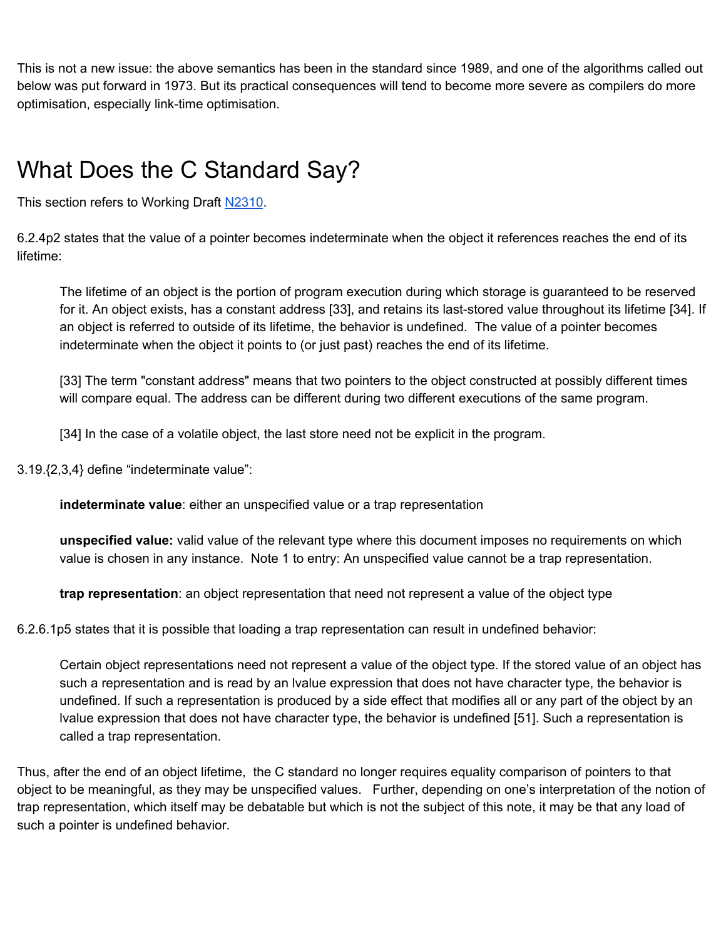This is not a new issue: the above semantics has been in the standard since 1989, and one of the algorithms called out below was put forward in 1973. But its practical consequences will tend to become more severe as compilers do more optimisation, especially link-time optimisation.

## <span id="page-2-0"></span>What Does the C Standard Say?

This section refers to Working Draft [N2310](http://www.open-std.org/jtc1/sc22/wg14/www/docs/n2310.pdf).

6.2.4p2 states that the value of a pointer becomes indeterminate when the object it references reaches the end of its lifetime:

The lifetime of an object is the portion of program execution during which storage is guaranteed to be reserved for it. An object exists, has a constant address [33], and retains its last-stored value throughout its lifetime [34]. If an object is referred to outside of its lifetime, the behavior is undefined. The value of a pointer becomes indeterminate when the object it points to (or just past) reaches the end of its lifetime.

[33] The term "constant address" means that two pointers to the object constructed at possibly different times will compare equal. The address can be different during two different executions of the same program.

[34] In the case of a volatile object, the last store need not be explicit in the program.

3.19.{2,3,4} define "indeterminate value":

**indeterminate value**: either an unspecified value or a trap representation

**unspecified value:** valid value of the relevant type where this document imposes no requirements on which value is chosen in any instance. Note 1 to entry: An unspecified value cannot be a trap representation.

**trap representation**: an object representation that need not represent a value of the object type

6.2.6.1p5 states that it is possible that loading a trap representation can result in undefined behavior:

Certain object representations need not represent a value of the object type. If the stored value of an object has such a representation and is read by an lvalue expression that does not have character type, the behavior is undefined. If such a representation is produced by a side effect that modifies all or any part of the object by an lvalue expression that does not have character type, the behavior is undefined [51]. Such a representation is called a trap representation.

Thus, after the end of an object lifetime, the C standard no longer requires equality comparison of pointers to that object to be meaningful, as they may be unspecified values. Further, depending on one's interpretation of the notion of trap representation, which itself may be debatable but which is not the subject of this note, it may be that any load of such a pointer is undefined behavior.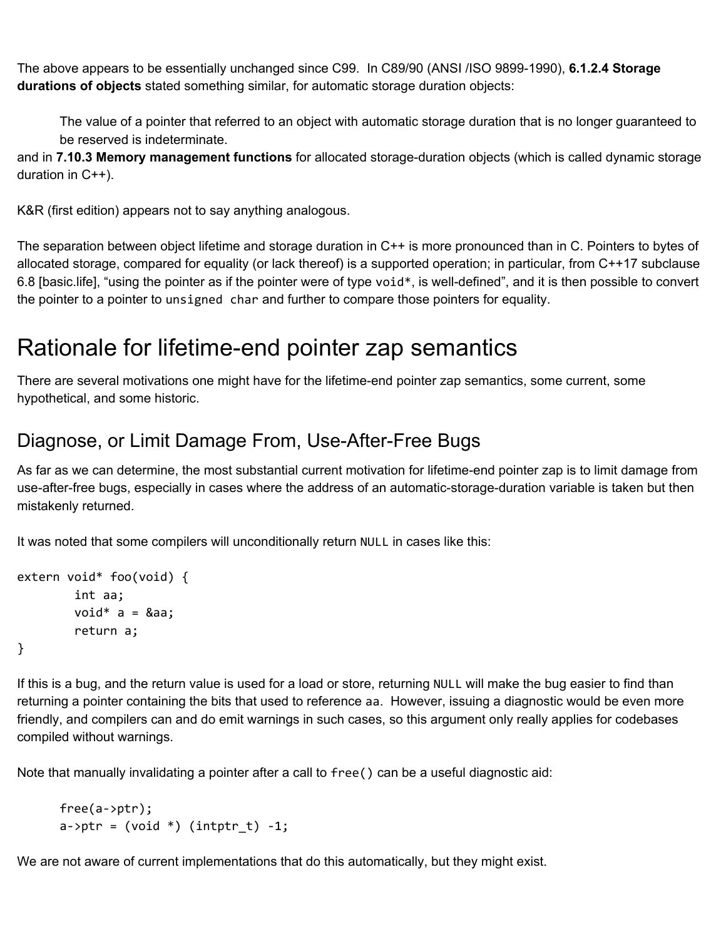The above appears to be essentially unchanged since C99. In C89/90 (ANSI /ISO 9899-1990), **6.1.2.4 Storage durations of objects** stated something similar, for automatic storage duration objects:

The value of a pointer that referred to an object with automatic storage duration that is no longer guaranteed to be reserved is indeterminate.

and in **7.10.3 Memory management functions** for allocated storage-duration objects (which is called dynamic storage duration in C++).

K&R (first edition) appears not to say anything analogous.

The separation between object lifetime and storage duration in C++ is more pronounced than in C. Pointers to bytes of allocated storage, compared for equality (or lack thereof) is a supported operation; in particular, from C++17 subclause 6.8 [basic.life], "using the pointer as if the pointer were of type void $*$ , is well-defined", and it is then possible to convert the pointer to a pointer to unsigned char and further to compare those pointers for equality.

## <span id="page-3-0"></span>Rationale for lifetime-end pointer zap semantics

There are several motivations one might have for the lifetime-end pointer zap semantics, some current, some hypothetical, and some historic.

### <span id="page-3-1"></span>Diagnose, or Limit Damage From, Use-After-Free Bugs

As far as we can determine, the most substantial current motivation for lifetime-end pointer zap is to limit damage from use-after-free bugs, especially in cases where the address of an automatic-storage-duration variable is taken but then mistakenly returned.

It was noted that some compilers will unconditionally return NULL in cases like this:

```
extern void* foo(void) {
        int aa;
        void* a = 8aa;
        return a;
}
```
If this is a bug, and the return value is used for a load or store, returning NULL will make the bug easier to find than returning a pointer containing the bits that used to reference aa. However, issuing a diagnostic would be even more friendly, and compilers can and do emit warnings in such cases, so this argument only really applies for codebases compiled without warnings.

Note that manually invalidating a pointer after a call to free() can be a useful diagnostic aid:

```
free(a->ptr);
a\rightarrowptr = (void *) (intptr_t) -1;
```
We are not aware of current implementations that do this automatically, but they might exist.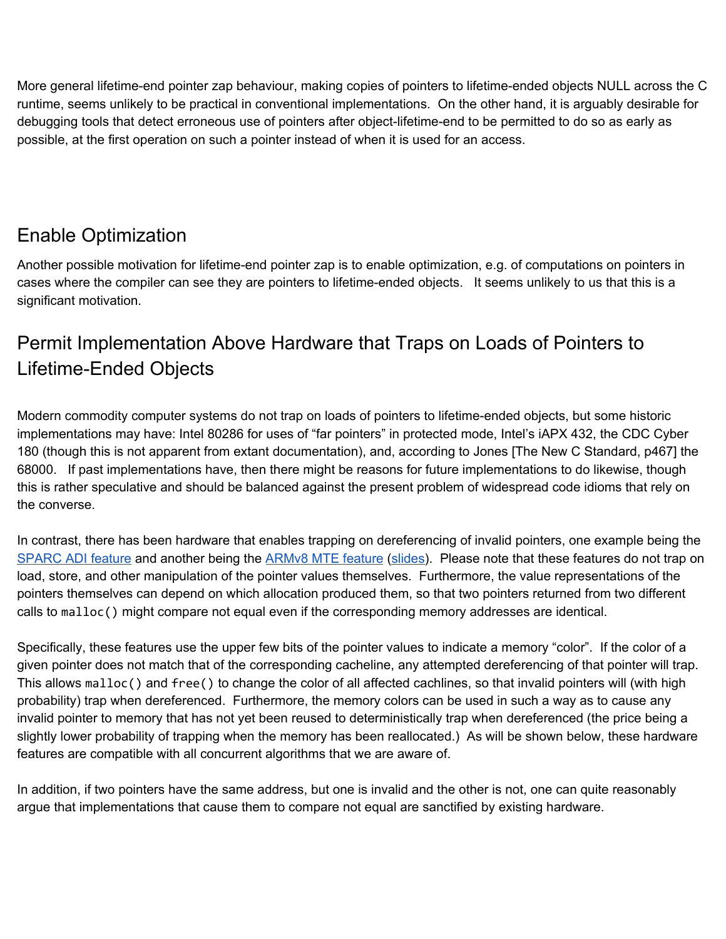More general lifetime-end pointer zap behaviour, making copies of pointers to lifetime-ended objects NULL across the C runtime, seems unlikely to be practical in conventional implementations. On the other hand, it is arguably desirable for debugging tools that detect erroneous use of pointers after object-lifetime-end to be permitted to do so as early as possible, at the first operation on such a pointer instead of when it is used for an access.

### <span id="page-4-0"></span>Enable Optimization

Another possible motivation for lifetime-end pointer zap is to enable optimization, e.g. of computations on pointers in cases where the compiler can see they are pointers to lifetime-ended objects. It seems unlikely to us that this is a significant motivation.

## <span id="page-4-1"></span>Permit Implementation Above Hardware that Traps on Loads of Pointers to Lifetime-Ended Objects

Modern commodity computer systems do not trap on loads of pointers to lifetime-ended objects, but some historic implementations may have: Intel 80286 for uses of "far pointers" in protected mode, Intel's iAPX 432, the CDC Cyber 180 (though this is not apparent from extant documentation), and, according to Jones [The New C Standard, p467] the 68000. If past implementations have, then there might be reasons for future implementations to do likewise, though this is rather speculative and should be balanced against the present problem of widespread code idioms that rely on the converse.

In contrast, there has been hardware that enables trapping on dereferencing of invalid pointers, one example being the [SPARC](https://www.kernel.org/doc/Documentation/sparc/adi.rst) ADI feature and another being the [ARMv8](https://community.arm.com/developer/ip-products/processors/b/processors-ip-blog/posts/arm-a-profile-architecture-2018-developments-armv85a) MTE feature [\(slides](https://llvm.org/devmtg/2018-10/slides/Serebryany-Stepanov-Tsyrklevich-Memory-Tagging-Slides-LLVM-2018.pdf)). Please note that these features do not trap on load, store, and other manipulation of the pointer values themselves. Furthermore, the value representations of the pointers themselves can depend on which allocation produced them, so that two pointers returned from two different calls to malloc() might compare not equal even if the corresponding memory addresses are identical.

Specifically, these features use the upper few bits of the pointer values to indicate a memory "color". If the color of a given pointer does not match that of the corresponding cacheline, any attempted dereferencing of that pointer will trap. This allows malloc() and free() to change the color of all affected cachlines, so that invalid pointers will (with high probability) trap when dereferenced. Furthermore, the memory colors can be used in such a way as to cause any invalid pointer to memory that has not yet been reused to deterministically trap when dereferenced (the price being a slightly lower probability of trapping when the memory has been reallocated.) As will be shown below, these hardware features are compatible with all concurrent algorithms that we are aware of.

In addition, if two pointers have the same address, but one is invalid and the other is not, one can quite reasonably argue that implementations that cause them to compare not equal are sanctified by existing hardware.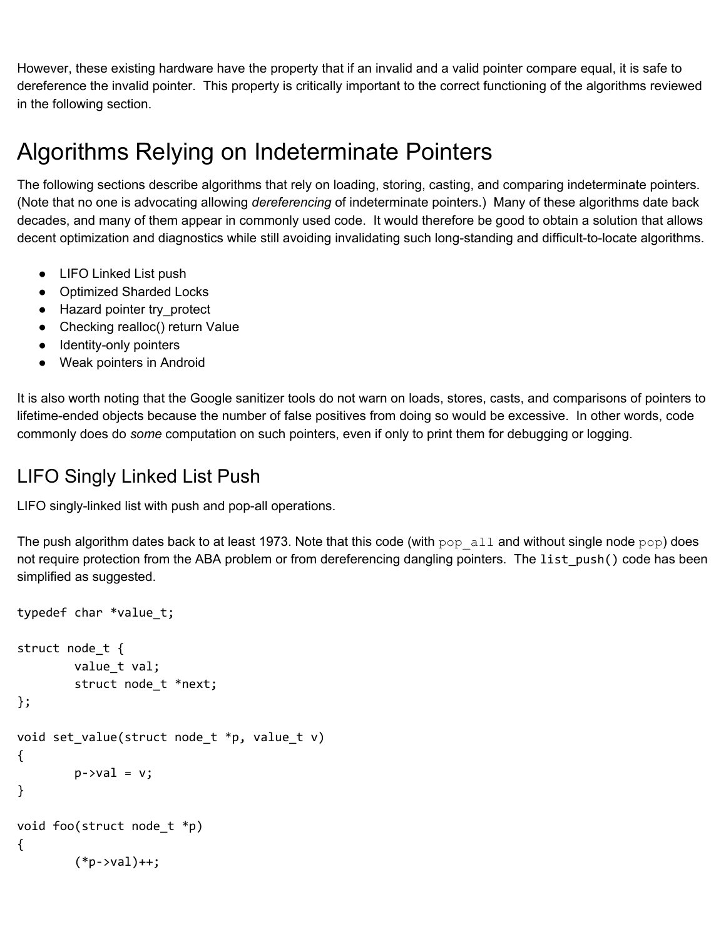However, these existing hardware have the property that if an invalid and a valid pointer compare equal, it is safe to dereference the invalid pointer. This property is critically important to the correct functioning of the algorithms reviewed in the following section.

## <span id="page-5-0"></span>Algorithms Relying on Indeterminate Pointers

The following sections describe algorithms that rely on loading, storing, casting, and comparing indeterminate pointers. (Note that no one is advocating allowing *dereferencing* of indeterminate pointers.) Many of these algorithms date back decades, and many of them appear in commonly used code. It would therefore be good to obtain a solution that allows decent optimization and diagnostics while still avoiding invalidating such long-standing and difficult-to-locate algorithms.

- LIFO Linked List push
- Optimized Sharded Locks
- Hazard pointer try\_protect
- Checking realloc() return Value
- Identity-only pointers
- Weak pointers in Android

It is also worth noting that the Google sanitizer tools do not warn on loads, stores, casts, and comparisons of pointers to lifetime-ended objects because the number of false positives from doing so would be excessive. In other words, code commonly does do *some* computation on such pointers, even if only to print them for debugging or logging.

## <span id="page-5-1"></span>LIFO Singly Linked List Push

LIFO singly-linked list with push and pop-all operations.

The push algorithm dates back to at least 1973. Note that this code (with  $pop\_all$  and without single node  $pop)$  does not require protection from the ABA problem or from dereferencing dangling pointers. The list\_push() code has been simplified as suggested.

```
typedef char *value_t;
struct node_t {
        value_t val;
        struct node_t *next;
};
void set_value(struct node_t *p, value_t v)
{
        p\rightarrow val = v;}
void foo(struct node_t *p)
{
        (*p->val)++;
```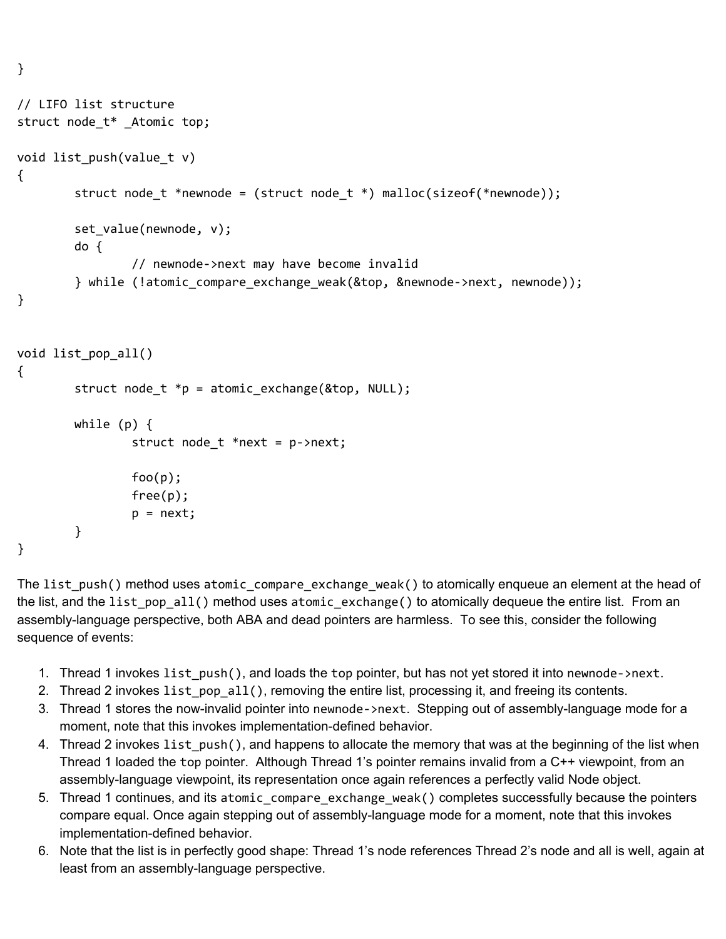```
// LIFO list structure
struct node_t* _Atomic top;
void list_push(value_t v)
{
        struct node_t *newnode = (struct node_t *) malloc(sizeof(*newnode));
        set_value(newnode, v);
        do {
                // newnode->next may have become invalid
        } while (!atomic_compare_exchange_weak(&top, &newnode->next, newnode));
}
void list_pop_all()
{
        struct node_t *p = atomic\_exchange(\&top, NULL);while (p) {
                struct node_t *next = p->next;
                foo(p);
                free(p);
                p = next;}
}
```
}

The list\_push() method uses atomic\_compare\_exchange\_weak() to atomically enqueue an element at the head of the list, and the list\_pop\_all() method uses atomic\_exchange() to atomically dequeue the entire list. From an assembly-language perspective, both ABA and dead pointers are harmless. To see this, consider the following sequence of events:

- 1. Thread 1 invokes list\_push(), and loads the top pointer, but has not yet stored it into newnode->next.
- 2. Thread 2 invokes list\_pop\_all(), removing the entire list, processing it, and freeing its contents.
- 3. Thread 1 stores the now-invalid pointer into newnode->next. Stepping out of assembly-language mode for a moment, note that this invokes implementation-defined behavior.
- 4. Thread 2 invokes list\_push(), and happens to allocate the memory that was at the beginning of the list when Thread 1 loaded the top pointer. Although Thread 1's pointer remains invalid from a C++ viewpoint, from an assembly-language viewpoint, its representation once again references a perfectly valid Node object.
- 5. Thread 1 continues, and its atomic\_compare\_exchange\_weak() completes successfully because the pointers compare equal. Once again stepping out of assembly-language mode for a moment, note that this invokes implementation-defined behavior.
- 6. Note that the list is in perfectly good shape: Thread 1's node references Thread 2's node and all is well, again at least from an assembly-language perspective.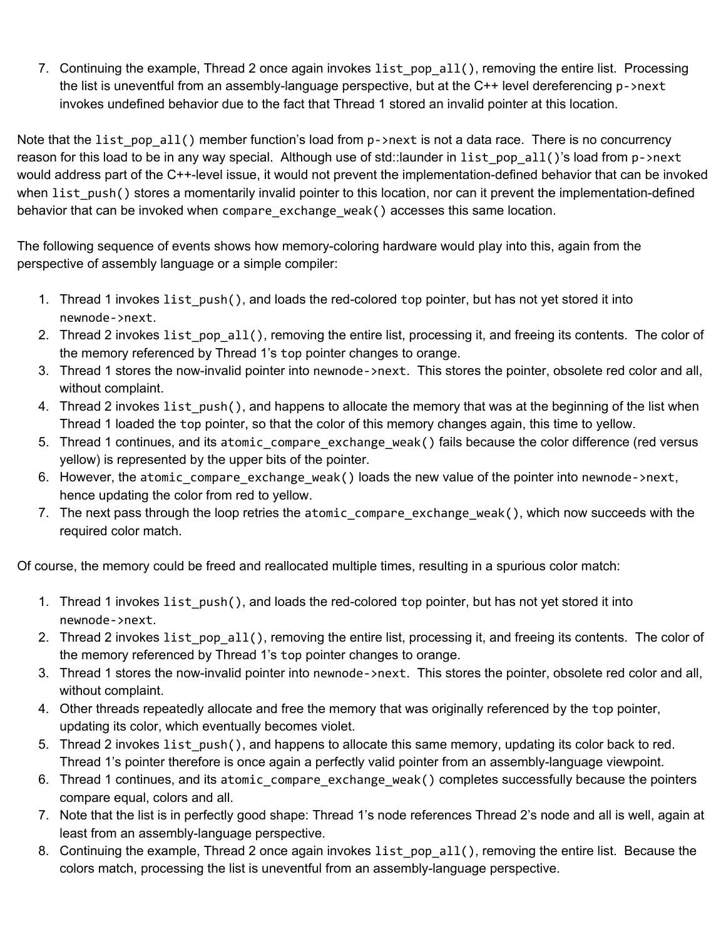7. Continuing the example, Thread 2 once again invokes list pop all(), removing the entire list. Processing the list is uneventful from an assembly-language perspective, but at the C++ level dereferencing p->next invokes undefined behavior due to the fact that Thread 1 stored an invalid pointer at this location.

Note that the list pop all() member function's load from p->next is not a data race. There is no concurrency reason for this load to be in any way special. Although use of std::launder in list pop all()'s load from p->next would address part of the C++-level issue, it would not prevent the implementation-defined behavior that can be invoked when list push() stores a momentarily invalid pointer to this location, nor can it prevent the implementation-defined behavior that can be invoked when compare\_exchange\_weak() accesses this same location.

The following sequence of events shows how memory-coloring hardware would play into this, again from the perspective of assembly language or a simple compiler:

- 1. Thread 1 invokes list\_push(), and loads the red-colored top pointer, but has not yet stored it into newnode->next.
- 2. Thread 2 invokes list pop\_all(), removing the entire list, processing it, and freeing its contents. The color of the memory referenced by Thread 1's top pointer changes to orange.
- 3. Thread 1 stores the now-invalid pointer into newnode->next. This stores the pointer, obsolete red color and all, without complaint.
- 4. Thread 2 invokes list push(), and happens to allocate the memory that was at the beginning of the list when Thread 1 loaded the top pointer, so that the color of this memory changes again, this time to yellow.
- 5. Thread 1 continues, and its atomic\_compare\_exchange\_weak() fails because the color difference (red versus yellow) is represented by the upper bits of the pointer.
- 6. However, the atomic compare exchange weak() loads the new value of the pointer into newnode->next, hence updating the color from red to yellow.
- 7. The next pass through the loop retries the atomic compare exchange weak(), which now succeeds with the required color match.

Of course, the memory could be freed and reallocated multiple times, resulting in a spurious color match:

- 1. Thread 1 invokes list push(), and loads the red-colored top pointer, but has not yet stored it into newnode->next.
- 2. Thread 2 invokes list\_pop\_all(), removing the entire list, processing it, and freeing its contents. The color of the memory referenced by Thread 1's top pointer changes to orange.
- 3. Thread 1 stores the now-invalid pointer into newnode->next. This stores the pointer, obsolete red color and all, without complaint.
- 4. Other threads repeatedly allocate and free the memory that was originally referenced by the top pointer, updating its color, which eventually becomes violet.
- 5. Thread 2 invokes list push(), and happens to allocate this same memory, updating its color back to red. Thread 1's pointer therefore is once again a perfectly valid pointer from an assembly-language viewpoint.
- 6. Thread 1 continues, and its atomic\_compare\_exchange\_weak() completes successfully because the pointers compare equal, colors and all.
- 7. Note that the list is in perfectly good shape: Thread 1's node references Thread 2's node and all is well, again at least from an assembly-language perspective.
- 8. Continuing the example, Thread 2 once again invokes list\_pop\_all(), removing the entire list. Because the colors match, processing the list is uneventful from an assembly-language perspective.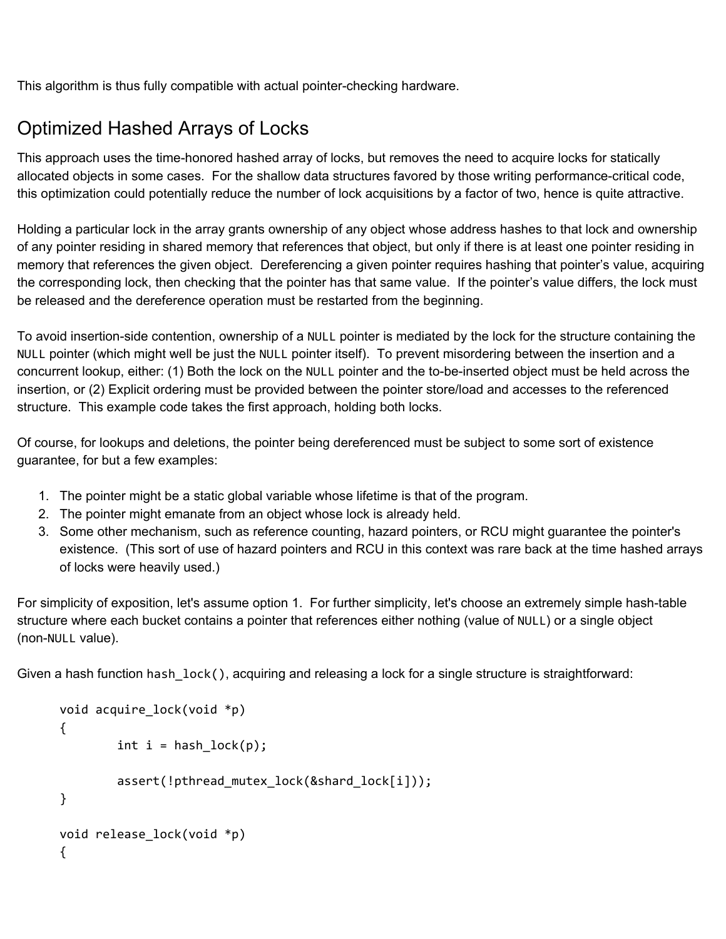<span id="page-8-0"></span>This algorithm is thus fully compatible with actual pointer-checking hardware.

## Optimized Hashed Arrays of Locks

This approach uses the time-honored hashed array of locks, but removes the need to acquire locks for statically allocated objects in some cases. For the shallow data structures favored by those writing performance-critical code, this optimization could potentially reduce the number of lock acquisitions by a factor of two, hence is quite attractive.

Holding a particular lock in the array grants ownership of any object whose address hashes to that lock and ownership of any pointer residing in shared memory that references that object, but only if there is at least one pointer residing in memory that references the given object. Dereferencing a given pointer requires hashing that pointer's value, acquiring the corresponding lock, then checking that the pointer has that same value. If the pointer's value differs, the lock must be released and the dereference operation must be restarted from the beginning.

To avoid insertion-side contention, ownership of a NULL pointer is mediated by the lock for the structure containing the NULL pointer (which might well be just the NULL pointer itself). To prevent misordering between the insertion and a concurrent lookup, either: (1) Both the lock on the NULL pointer and the to-be-inserted object must be held across the insertion, or (2) Explicit ordering must be provided between the pointer store/load and accesses to the referenced structure. This example code takes the first approach, holding both locks.

Of course, for lookups and deletions, the pointer being dereferenced must be subject to some sort of existence guarantee, for but a few examples:

- 1. The pointer might be a static global variable whose lifetime is that of the program.
- 2. The pointer might emanate from an object whose lock is already held.
- 3. Some other mechanism, such as reference counting, hazard pointers, or RCU might guarantee the pointer's existence. (This sort of use of hazard pointers and RCU in this context was rare back at the time hashed arrays of locks were heavily used.)

For simplicity of exposition, let's assume option 1. For further simplicity, let's choose an extremely simple hash-table structure where each bucket contains a pointer that references either nothing (value of NULL) or a single object (non-NULL value).

Given a hash function hash lock(), acquiring and releasing a lock for a single structure is straightforward:

```
void acquire_lock(void *p)
{
        int i = hash\_lock(p);assert(!pthread_mutex_lock(&shard_lock[i]));
}
void release_lock(void *p)
{
```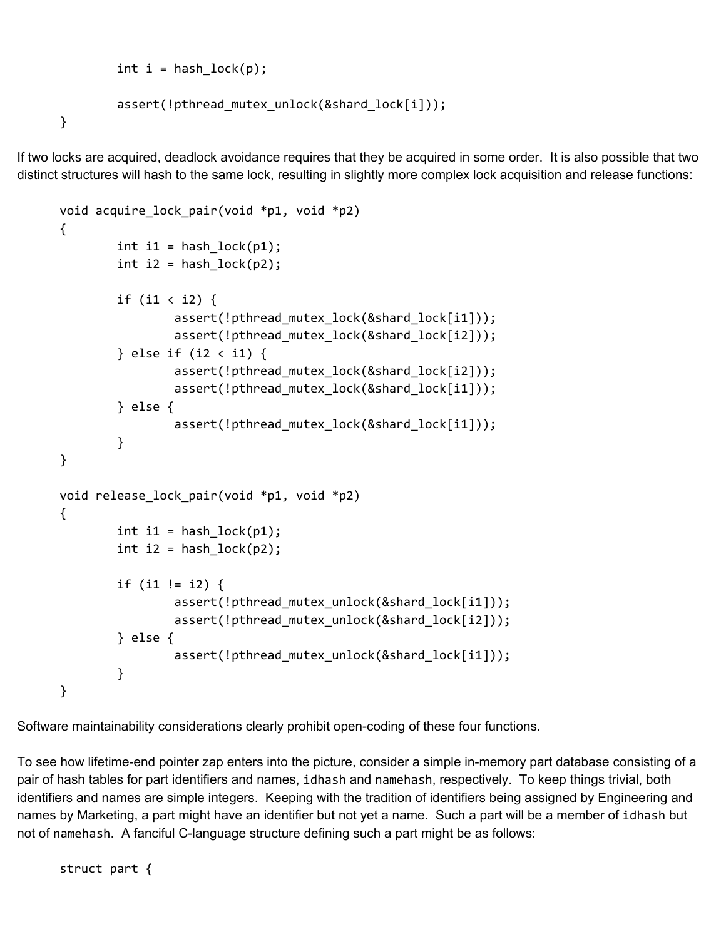```
int i = hash\_lock(p);
        assert(!pthread_mutex_unlock(&shard_lock[i]));
}
```
If two locks are acquired, deadlock avoidance requires that they be acquired in some order. It is also possible that two distinct structures will hash to the same lock, resulting in slightly more complex lock acquisition and release functions:

```
void acquire_lock_pair(void *p1, void *p2)
{
        int i1 = hash_lock(p1);
        int i2 = hash_lock(p2);
        if (i1 < i2) {
                assert(!pthread_mutex_lock(&shard_lock[i1]));
                assert(!pthread_mutex_lock(&shard_lock[i2]));
        } else if (i2 < i1) {
                assert(!pthread_mutex_lock(&shard_lock[i2]));
                assert(!pthread_mutex_lock(&shard_lock[i1]));
        } else {
                assert(!pthread_mutex_lock(&shard_lock[i1]));
        }
}
void release_lock_pair(void *p1, void *p2)
{
        int i1 = hash_lock(p1);
        int i2 = hash_lock(p2);
        if (i1 != i2) {
                assert(!pthread_mutex_unlock(&shard_lock[i1]));
                assert(!pthread_mutex_unlock(&shard_lock[i2]));
        } else {
                assert(!pthread_mutex_unlock(&shard_lock[i1]));
        }
}
```
Software maintainability considerations clearly prohibit open-coding of these four functions.

To see how lifetime-end pointer zap enters into the picture, consider a simple in-memory part database consisting of a pair of hash tables for part identifiers and names, idhash and namehash, respectively. To keep things trivial, both identifiers and names are simple integers. Keeping with the tradition of identifiers being assigned by Engineering and names by Marketing, a part might have an identifier but not yet a name. Such a part will be a member of idhash but not of namehash. A fanciful C-language structure defining such a part might be as follows:

struct part {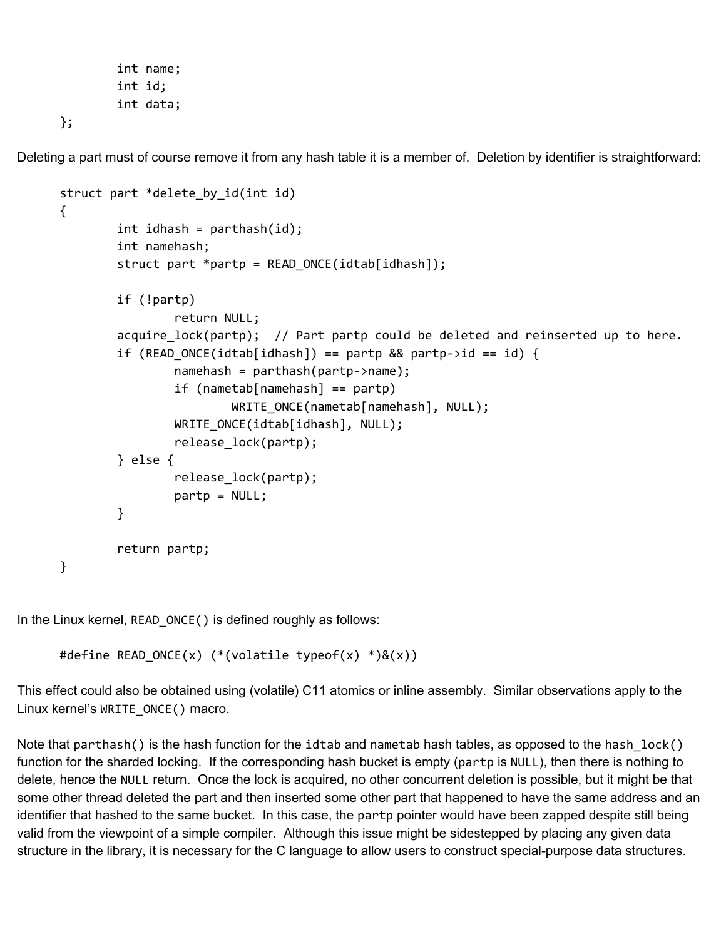```
int name;
int id;
int data;
```
};

Deleting a part must of course remove it from any hash table it is a member of. Deletion by identifier is straightforward:

```
struct part *delete_by_id(int id)
{
        int idhash = parthash(id);
        int namehash;
        struct part *partp = READONCE(idtab[idhash]);if (!partp)
                return NULL;
        acquire lock(partp); // Part partp could be deleted and reinserted up to here.
        if (READ ONCE(idtab[idhash]) == partp && partp->id == id) {
                namehash = parthash(partp->name);
                if (nametab[namehash] == partp)
                        WRITE ONCE(nametab[namehash], NULL);
                WRITE_ONCE(idtab[idhash], NULL);
                release_lock(partp);
        } else {
                release_lock(partp);
                partp = NULL;
        }
        return partp;
}
```
In the Linux kernel, READ\_ONCE() is defined roughly as follows:

```
#define READ_ONCE(x) (*(volatile typeof(x) *)&(x))
```
This effect could also be obtained using (volatile) C11 atomics or inline assembly. Similar observations apply to the Linux kernel's WRITE\_ONCE() macro.

Note that parthash() is the hash function for the idtab and nametab hash tables, as opposed to the hash lock() function for the sharded locking. If the corresponding hash bucket is empty (partp is NULL), then there is nothing to delete, hence the NULL return. Once the lock is acquired, no other concurrent deletion is possible, but it might be that some other thread deleted the part and then inserted some other part that happened to have the same address and an identifier that hashed to the same bucket. In this case, the partp pointer would have been zapped despite still being valid from the viewpoint of a simple compiler. Although this issue might be sidestepped by placing any given data structure in the library, it is necessary for the C language to allow users to construct special-purpose data structures.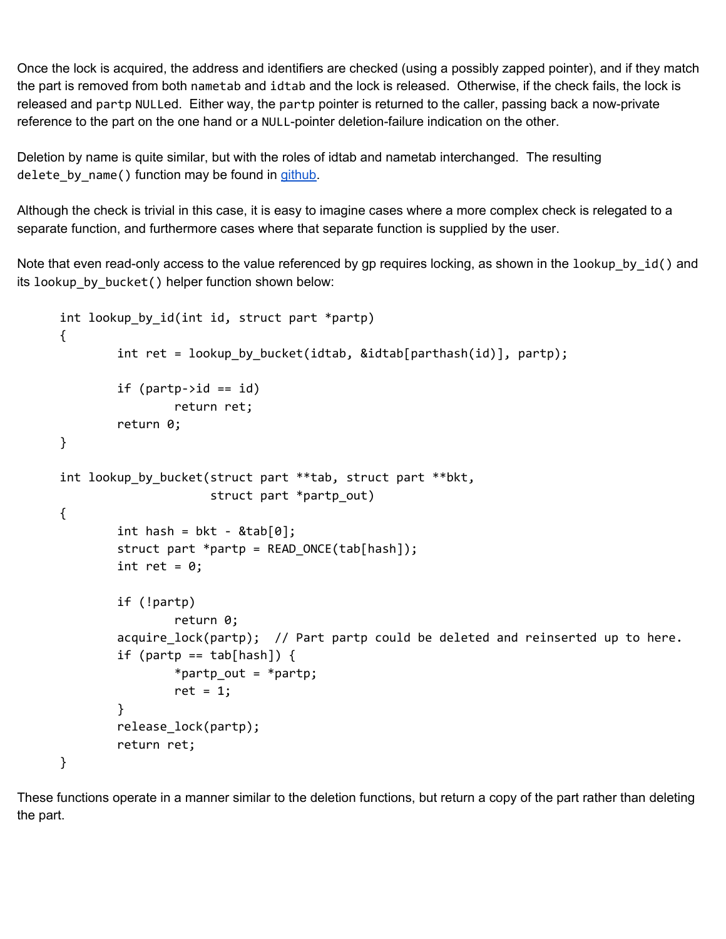Once the lock is acquired, the address and identifiers are checked (using a possibly zapped pointer), and if they match the part is removed from both nametab and idtab and the lock is released. Otherwise, if the check fails, the lock is released and partp NULLed. Either way, the partp pointer is returned to the caller, passing back a now-private reference to the part on the one hand or a NULL-pointer deletion-failure indication on the other.

Deletion by name is quite similar, but with the roles of idtab and nametab interchanged. The resulting delete\_by\_name() function may be found in [github.](https://github.com/paulmckrcu/wg14-n2369-examples/blob/master/opt-shard-lock/simp-opt-shard-lock.c)

Although the check is trivial in this case, it is easy to imagine cases where a more complex check is relegated to a separate function, and furthermore cases where that separate function is supplied by the user.

Note that even read-only access to the value referenced by gp requires locking, as shown in the lookup\_by\_id() and its lookup\_by\_bucket() helper function shown below:

```
int lookup_by_id(int id, struct part *partp)
{
        int ret = lookup by bucket(idtab, &idtab[parthash(id)], partp);
        if (partp->id == id)
                return ret;
        return 0;
}
int lookup_by_bucket(struct part **tab, struct part **bkt,
                     struct part *partp_out)
{
        int hash = bkt - \&tab[0];struct part *partp = READ_ONCE(tab[hash]);
        int ret = 0;
        if (!partp)
                return 0;
        acquire_lock(partp); // Part partp could be deleted and reinserted up to here.
        if (partp == tab[hash]) {
                *partp_out = *partp;
                ret = 1;
        }
        release_lock(partp);
        return ret;
}
```
These functions operate in a manner similar to the deletion functions, but return a copy of the part rather than deleting the part.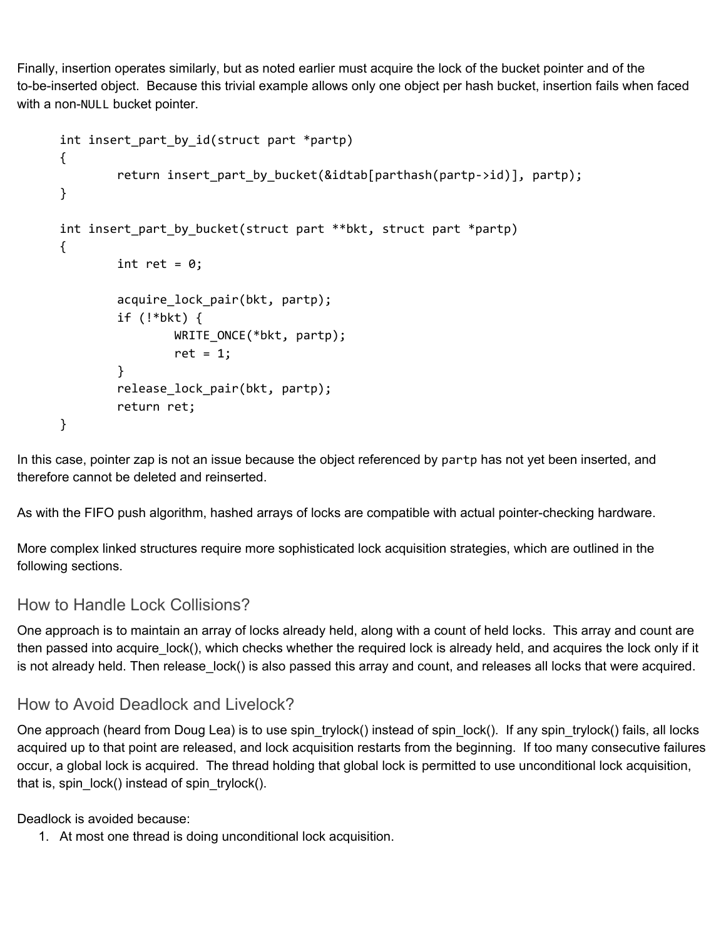Finally, insertion operates similarly, but as noted earlier must acquire the lock of the bucket pointer and of the to-be-inserted object. Because this trivial example allows only one object per hash bucket, insertion fails when faced with a non-NULL bucket pointer.

```
int insert part by id(struct part *partp)
{
        return insert_part_by_bucket(&idtab[parthash(partp->id)], partp);
}
int insert_part_by_bucket(struct part **bkt, struct part *partp)
{
        int ret = 0;
        acquire_lock_pair(bkt, partp);
        if (!*bkt) {
                WRITE_ONCE(*bkt, partp);
                ret = 1;
        }
        release_lock_pair(bkt, partp);
        return ret;
}
```
In this case, pointer zap is not an issue because the object referenced by partp has not yet been inserted, and therefore cannot be deleted and reinserted.

As with the FIFO push algorithm, hashed arrays of locks are compatible with actual pointer-checking hardware.

More complex linked structures require more sophisticated lock acquisition strategies, which are outlined in the following sections.

#### <span id="page-12-0"></span>How to Handle Lock Collisions?

One approach is to maintain an array of locks already held, along with a count of held locks. This array and count are then passed into acquire lock(), which checks whether the required lock is already held, and acquires the lock only if it is not already held. Then release lock() is also passed this array and count, and releases all locks that were acquired.

#### <span id="page-12-1"></span>How to Avoid Deadlock and Livelock?

One approach (heard from Doug Lea) is to use spin\_trylock() instead of spin\_lock(). If any spin\_trylock() fails, all locks acquired up to that point are released, and lock acquisition restarts from the beginning. If too many consecutive failures occur, a global lock is acquired. The thread holding that global lock is permitted to use unconditional lock acquisition, that is, spin\_lock() instead of spin\_trylock().

Deadlock is avoided because:

1. At most one thread is doing unconditional lock acquisition.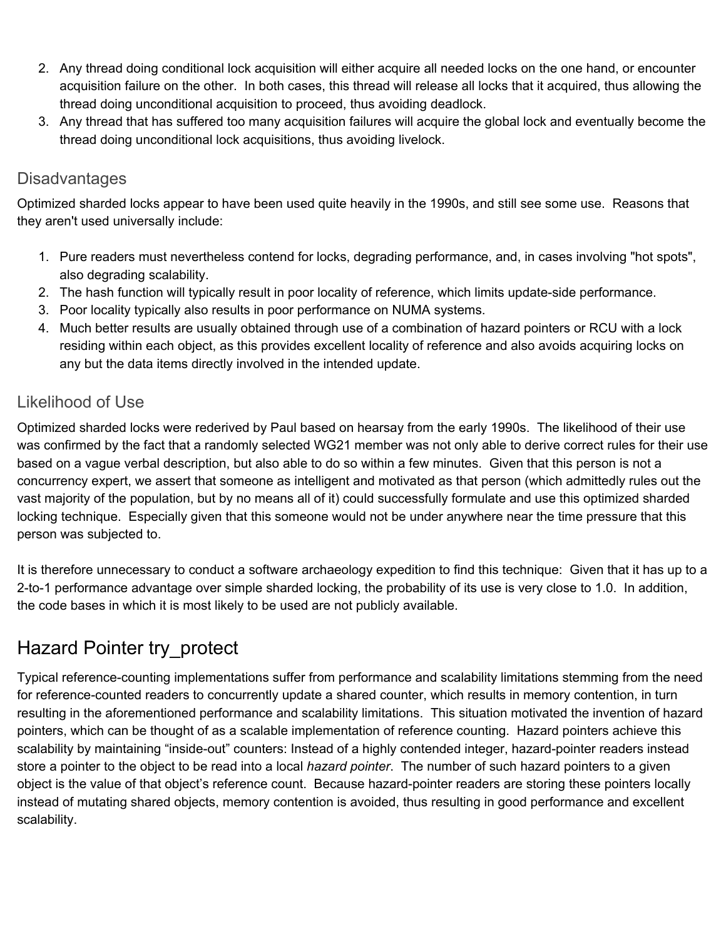- 2. Any thread doing conditional lock acquisition will either acquire all needed locks on the one hand, or encounter acquisition failure on the other. In both cases, this thread will release all locks that it acquired, thus allowing the thread doing unconditional acquisition to proceed, thus avoiding deadlock.
- 3. Any thread that has suffered too many acquisition failures will acquire the global lock and eventually become the thread doing unconditional lock acquisitions, thus avoiding livelock.

#### <span id="page-13-0"></span>**Disadvantages**

Optimized sharded locks appear to have been used quite heavily in the 1990s, and still see some use. Reasons that they aren't used universally include:

- 1. Pure readers must nevertheless contend for locks, degrading performance, and, in cases involving "hot spots", also degrading scalability.
- 2. The hash function will typically result in poor locality of reference, which limits update-side performance.
- 3. Poor locality typically also results in poor performance on NUMA systems.
- 4. Much better results are usually obtained through use of a combination of hazard pointers or RCU with a lock residing within each object, as this provides excellent locality of reference and also avoids acquiring locks on any but the data items directly involved in the intended update.

#### <span id="page-13-1"></span>Likelihood of Use

Optimized sharded locks were rederived by Paul based on hearsay from the early 1990s. The likelihood of their use was confirmed by the fact that a randomly selected WG21 member was not only able to derive correct rules for their use based on a vague verbal description, but also able to do so within a few minutes. Given that this person is not a concurrency expert, we assert that someone as intelligent and motivated as that person (which admittedly rules out the vast majority of the population, but by no means all of it) could successfully formulate and use this optimized sharded locking technique. Especially given that this someone would not be under anywhere near the time pressure that this person was subjected to.

It is therefore unnecessary to conduct a software archaeology expedition to find this technique: Given that it has up to a 2-to-1 performance advantage over simple sharded locking, the probability of its use is very close to 1.0. In addition, the code bases in which it is most likely to be used are not publicly available.

### <span id="page-13-2"></span>Hazard Pointer try\_protect

Typical reference-counting implementations suffer from performance and scalability limitations stemming from the need for reference-counted readers to concurrently update a shared counter, which results in memory contention, in turn resulting in the aforementioned performance and scalability limitations. This situation motivated the invention of hazard pointers, which can be thought of as a scalable implementation of reference counting. Hazard pointers achieve this scalability by maintaining "inside-out" counters: Instead of a highly contended integer, hazard-pointer readers instead store a pointer to the object to be read into a local *hazard pointer*. The number of such hazard pointers to a given object is the value of that object's reference count. Because hazard-pointer readers are storing these pointers locally instead of mutating shared objects, memory contention is avoided, thus resulting in good performance and excellent scalability.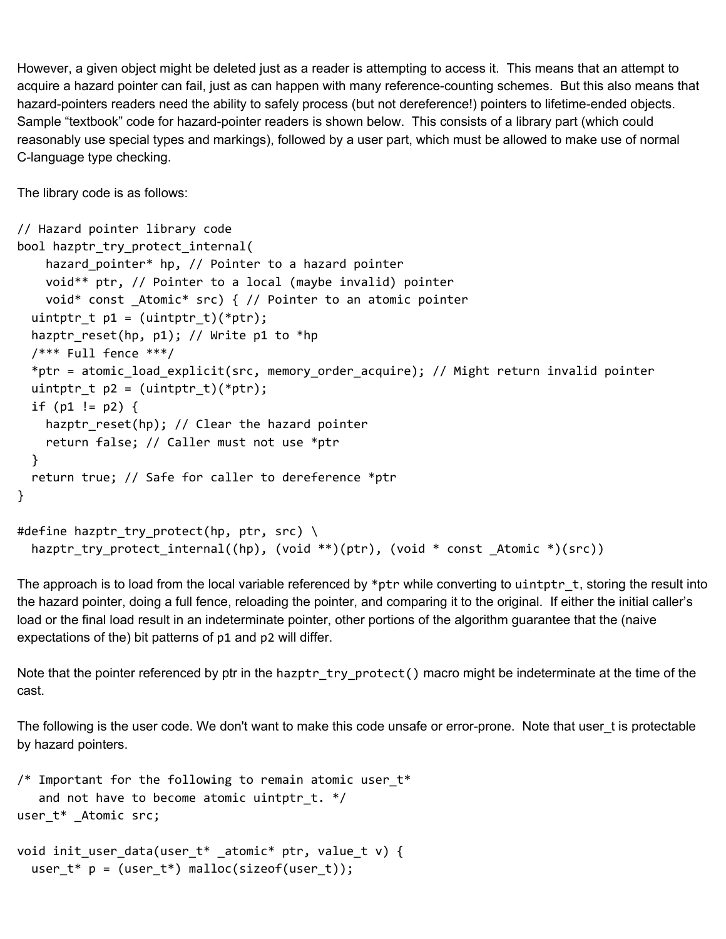However, a given object might be deleted just as a reader is attempting to access it. This means that an attempt to acquire a hazard pointer can fail, just as can happen with many reference-counting schemes. But this also means that hazard-pointers readers need the ability to safely process (but not dereference!) pointers to lifetime-ended objects. Sample "textbook" code for hazard-pointer readers is shown below. This consists of a library part (which could reasonably use special types and markings), followed by a user part, which must be allowed to make use of normal C-language type checking.

The library code is as follows:

```
// Hazard pointer library code
bool hazptr_try_protect_internal(
    hazard_pointer* hp, // Pointer to a hazard pointer
    void** ptr, // Pointer to a local (maybe invalid) pointer
    void* const _Atomic* src) { // Pointer to an atomic pointer
  uintptr_t p1 = (uintptr_t)(*ptr);hazptr_reset(hp, p1); // Write p1 to *hp
  /*** Full fence ***/
  *ptr = atomic_load_explicit(src, memory_order_acquire); // Might return invalid pointer
  uintptr_t p2 = (uintptr_t)(*ptr);if (p1 != p2) {
    hazptr reset(hp); // Clear the hazard pointer
    return false; // Caller must not use *ptr
  }
  return true; // Safe for caller to dereference *ptr
}
#define hazptr_try_protect(hp, ptr, src) \
  hazptr_try_protect_internal((hp), (void **)(ptr), (void * const _Atomic *)(src))
```
The approach is to load from the local variable referenced by \*ptr while converting to uintptr  $t$ , storing the result into the hazard pointer, doing a full fence, reloading the pointer, and comparing it to the original. If either the initial caller's load or the final load result in an indeterminate pointer, other portions of the algorithm guarantee that the (naive expectations of the) bit patterns of p1 and p2 will differ.

Note that the pointer referenced by ptr in the hazptr\_try\_protect() macro might be indeterminate at the time of the cast.

The following is the user code. We don't want to make this code unsafe or error-prone. Note that user t is protectable by hazard pointers.

```
/* Important for the following to remain atomic user_t*
   and not have to become atomic uintptr t. */user_t* _Atomic src;
void init_user_data(user_t* _atomic* ptr, value_t v) {
```

```
user_t* p = (user_t*) malloc(sizeof(user_t));
```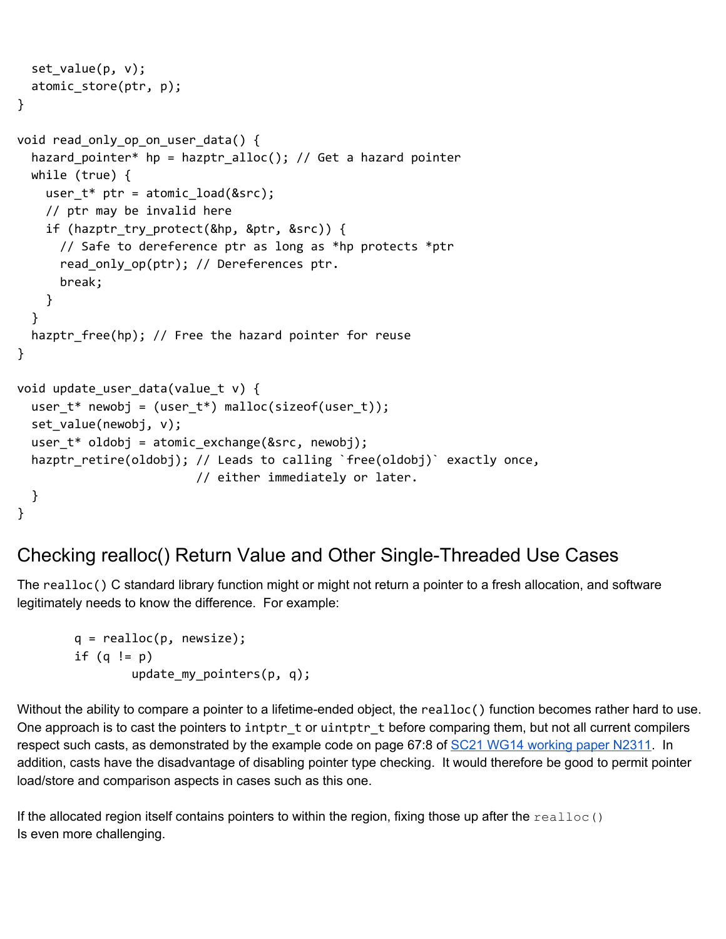```
set_value(p, v);
  atomic_store(ptr, p);
}
void read_only_op_on_user_data() {
  hazard_pointer* hp = hazptr_alloc(); // Get a hazard pointer
 while (true) {
    user_t* ptr = atomic\_load(8src);// ptr may be invalid here
    if (hazptr_try_protect(&hp, &ptr, &src)) {
      // Safe to dereference ptr as long as *hp protects *ptr
      read_only_op(ptr); // Dereferences ptr.
      break;
    }
  }
  hazptr_free(hp); // Free the hazard pointer for reuse
}
void update_user_data(value_t v) {
  user_t* newobj = (user_t*) malloc(sizeof(user_t));
  set_value(newobj, v);
  user_t * oldobj = atomic\_exchange(8src, newobj);hazptr_retire(oldobj); // Leads to calling `free(oldobj)` exactly once,
                         // either immediately or later.
  }
}
```
#### <span id="page-15-0"></span>Checking realloc() Return Value and Other Single-Threaded Use Cases

The realloc() C standard library function might or might not return a pointer to a fresh allocation, and software legitimately needs to know the difference. For example:

```
q = realloc(p, newsize);if (q != p)update_my_pointers(p, q);
```
Without the ability to compare a pointer to a lifetime-ended object, the realloc() function becomes rather hard to use. One approach is to cast the pointers to intptr\_t or uintptr\_t before comparing them, but not all current compilers respect such casts, as demonstrated by the example code on page 67:8 of SC21 WG14 [working](http://www.open-std.org/jtc1/sc22/wg14/www/docs/n2311.pdf) paper N2311. In addition, casts have the disadvantage of disabling pointer type checking. It would therefore be good to permit pointer load/store and comparison aspects in cases such as this one.

If the allocated region itself contains pointers to within the region, fixing those up after the  $\text{realloc}$  () Is even more challenging.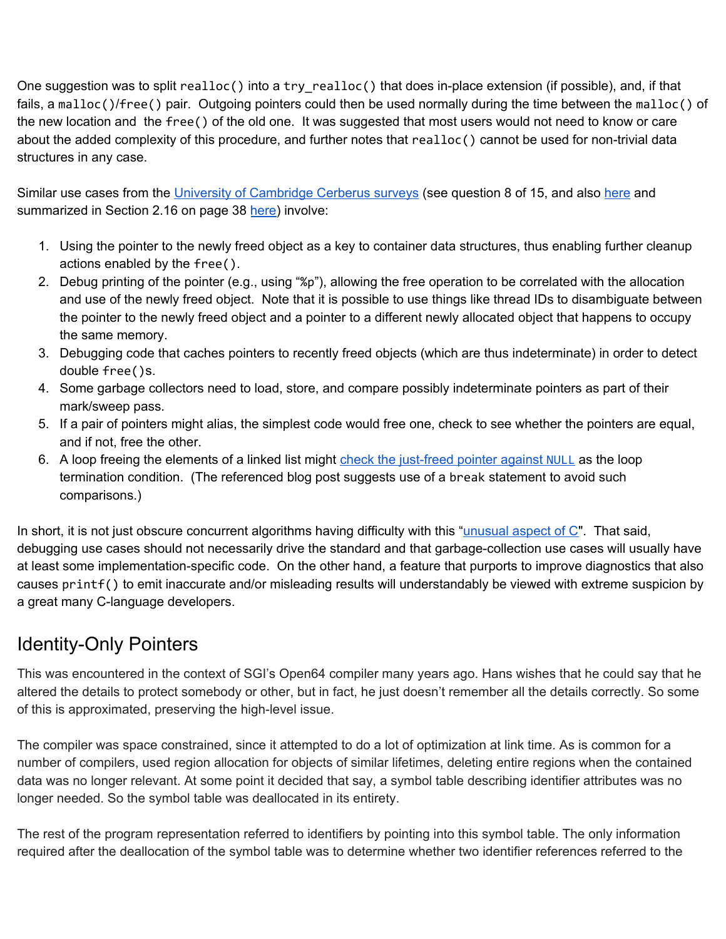One suggestion was to split realloc() into a try realloc() that does in-place extension (if possible), and, if that fails, a malloc()/free() pair. Outgoing pointers could then be used normally during the time between the malloc() of the new location and the free() of the old one. It was suggested that most users would not need to know or care about the added complexity of this procedure, and further notes that realloc() cannot be used for non-trivial data structures in any case.

Similar use cases from the University of [Cambridge](https://www.cl.cam.ac.uk/~pes20/cerberus/notes50-survey-discussion.html) Cerberus surveys (see question 8 of 15, and also [here](https://www.cl.cam.ac.uk/~pes20/cerberus/analysis-2016-02-05-anon.txt) and summarized in Section 2.16 on page 38 [here](http://www.open-std.org/jtc1/sc22/wg14/www/docs/n2013.pdf)) involve:

- 1. Using the pointer to the newly freed object as a key to container data structures, thus enabling further cleanup actions enabled by the free().
- 2. Debug printing of the pointer (e.g., using "%p"), allowing the free operation to be correlated with the allocation and use of the newly freed object. Note that it is possible to use things like thread IDs to disambiguate between the pointer to the newly freed object and a pointer to a different newly allocated object that happens to occupy the same memory.
- 3. Debugging code that caches pointers to recently freed objects (which are thus indeterminate) in order to detect double free()s.
- 4. Some garbage collectors need to load, store, and compare possibly indeterminate pointers as part of their mark/sweep pass.
- 5. If a pair of pointers might alias, the simplest code would free one, check to see whether the pointers are equal, and if not, free the other.
- 6. A loop freeing the elements of a linked list might check the [just-freed](https://trust-in-soft.com/dangling-pointer-indeterminate/) pointer against [NULL](https://trust-in-soft.com/dangling-pointer-indeterminate/) as the loop termination condition. (The referenced blog post suggests use of a break statement to avoid such comparisons.)

In short, it is not just obscure concurrent algorithms having difficulty with this "[unusual](http://www.open-std.org/jtc1/sc22/wg14/www/docs/n2013.pdf) aspect of C". That said, debugging use cases should not necessarily drive the standard and that garbage-collection use cases will usually have at least some implementation-specific code. On the other hand, a feature that purports to improve diagnostics that also causes printf() to emit inaccurate and/or misleading results will understandably be viewed with extreme suspicion by a great many C-language developers.

### <span id="page-16-0"></span>Identity-Only Pointers

This was encountered in the context of SGI's Open64 compiler many years ago. Hans wishes that he could say that he altered the details to protect somebody or other, but in fact, he just doesn't remember all the details correctly. So some of this is approximated, preserving the high-level issue.

The compiler was space constrained, since it attempted to do a lot of optimization at link time. As is common for a number of compilers, used region allocation for objects of similar lifetimes, deleting entire regions when the contained data was no longer relevant. At some point it decided that say, a symbol table describing identifier attributes was no longer needed. So the symbol table was deallocated in its entirety.

The rest of the program representation referred to identifiers by pointing into this symbol table. The only information required after the deallocation of the symbol table was to determine whether two identifier references referred to the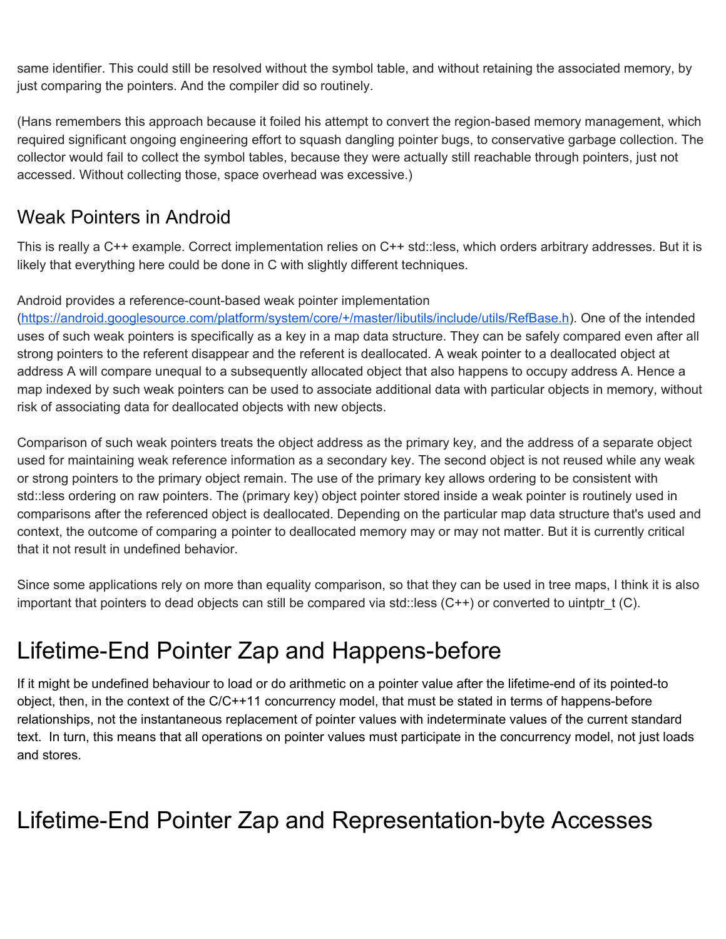same identifier. This could still be resolved without the symbol table, and without retaining the associated memory, by just comparing the pointers. And the compiler did so routinely.

(Hans remembers this approach because it foiled his attempt to convert the region-based memory management, which required significant ongoing engineering effort to squash dangling pointer bugs, to conservative garbage collection. The collector would fail to collect the symbol tables, because they were actually still reachable through pointers, just not accessed. Without collecting those, space overhead was excessive.)

### <span id="page-17-0"></span>Weak Pointers in Android

This is really a C++ example. Correct implementation relies on C++ std::less, which orders arbitrary addresses. But it is likely that everything here could be done in C with slightly different techniques.

#### Android provides a reference-count-based weak pointer implementation

[\(https://android.googlesource.com/platform/system/core/+/master/libutils/include/utils/RefBase.h](https://android.googlesource.com/platform/system/core/+/master/libutils/include/utils/RefBase.h)). One of the intended uses of such weak pointers is specifically as a key in a map data structure. They can be safely compared even after all strong pointers to the referent disappear and the referent is deallocated. A weak pointer to a deallocated object at address A will compare unequal to a subsequently allocated object that also happens to occupy address A. Hence a map indexed by such weak pointers can be used to associate additional data with particular objects in memory, without risk of associating data for deallocated objects with new objects.

Comparison of such weak pointers treats the object address as the primary key, and the address of a separate object used for maintaining weak reference information as a secondary key. The second object is not reused while any weak or strong pointers to the primary object remain. The use of the primary key allows ordering to be consistent with std::less ordering on raw pointers. The (primary key) object pointer stored inside a weak pointer is routinely used in comparisons after the referenced object is deallocated. Depending on the particular map data structure that's used and context, the outcome of comparing a pointer to deallocated memory may or may not matter. But it is currently critical that it not result in undefined behavior.

Since some applications rely on more than equality comparison, so that they can be used in tree maps, I think it is also important that pointers to dead objects can still be compared via std::less  $(C^{++})$  or converted to uintptr\_t  $(C)$ .

## <span id="page-17-1"></span>Lifetime-End Pointer Zap and Happens-before

If it might be undefined behaviour to load or do arithmetic on a pointer value after the lifetime-end of its pointed-to object, then, in the context of the C/C++11 concurrency model, that must be stated in terms of happens-before relationships, not the instantaneous replacement of pointer values with indeterminate values of the current standard text. In turn, this means that all operations on pointer values must participate in the concurrency model, not just loads and stores.

## <span id="page-17-2"></span>Lifetime-End Pointer Zap and Representation-byte Accesses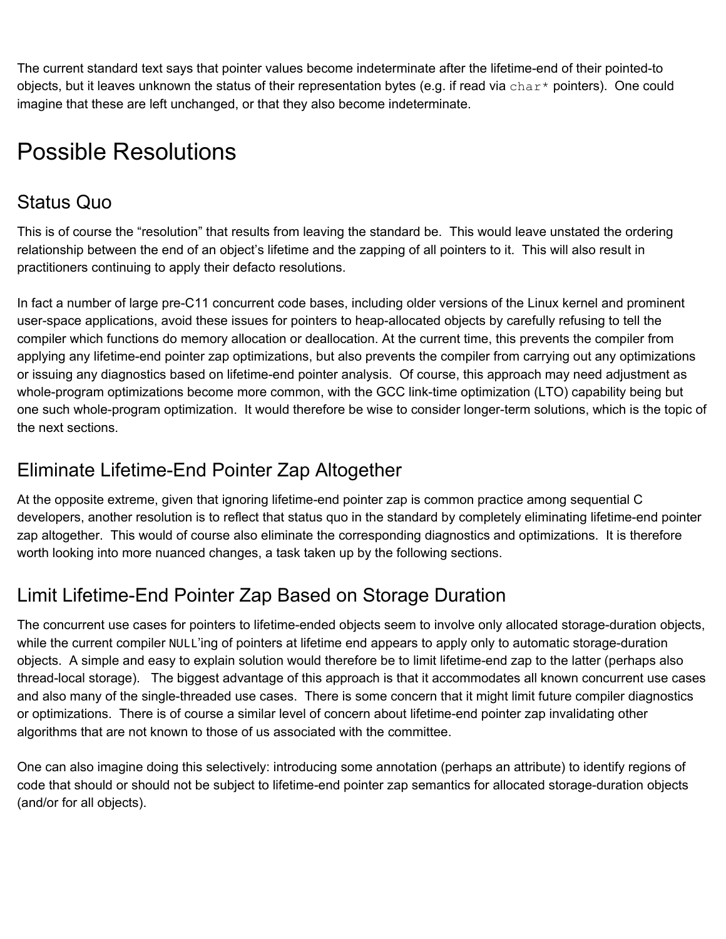The current standard text says that pointer values become indeterminate after the lifetime-end of their pointed-to objects, but it leaves unknown the status of their representation bytes (e.g. if read via char\* pointers). One could imagine that these are left unchanged, or that they also become indeterminate.

## <span id="page-18-0"></span>Possible Resolutions

### <span id="page-18-1"></span>Status Quo

This is of course the "resolution" that results from leaving the standard be. This would leave unstated the ordering relationship between the end of an object's lifetime and the zapping of all pointers to it. This will also result in practitioners continuing to apply their defacto resolutions.

In fact a number of large pre-C11 concurrent code bases, including older versions of the Linux kernel and prominent user-space applications, avoid these issues for pointers to heap-allocated objects by carefully refusing to tell the compiler which functions do memory allocation or deallocation. At the current time, this prevents the compiler from applying any lifetime-end pointer zap optimizations, but also prevents the compiler from carrying out any optimizations or issuing any diagnostics based on lifetime-end pointer analysis. Of course, this approach may need adjustment as whole-program optimizations become more common, with the GCC link-time optimization (LTO) capability being but one such whole-program optimization. It would therefore be wise to consider longer-term solutions, which is the topic of the next sections.

### <span id="page-18-2"></span>Eliminate Lifetime-End Pointer Zap Altogether

At the opposite extreme, given that ignoring lifetime-end pointer zap is common practice among sequential C developers, another resolution is to reflect that status quo in the standard by completely eliminating lifetime-end pointer zap altogether. This would of course also eliminate the corresponding diagnostics and optimizations. It is therefore worth looking into more nuanced changes, a task taken up by the following sections.

## <span id="page-18-3"></span>Limit Lifetime-End Pointer Zap Based on Storage Duration

The concurrent use cases for pointers to lifetime-ended objects seem to involve only allocated storage-duration objects, while the current compiler NULL'ing of pointers at lifetime end appears to apply only to automatic storage-duration objects. A simple and easy to explain solution would therefore be to limit lifetime-end zap to the latter (perhaps also thread-local storage). The biggest advantage of this approach is that it accommodates all known concurrent use cases and also many of the single-threaded use cases. There is some concern that it might limit future compiler diagnostics or optimizations. There is of course a similar level of concern about lifetime-end pointer zap invalidating other algorithms that are not known to those of us associated with the committee.

One can also imagine doing this selectively: introducing some annotation (perhaps an attribute) to identify regions of code that should or should not be subject to lifetime-end pointer zap semantics for allocated storage-duration objects (and/or for all objects).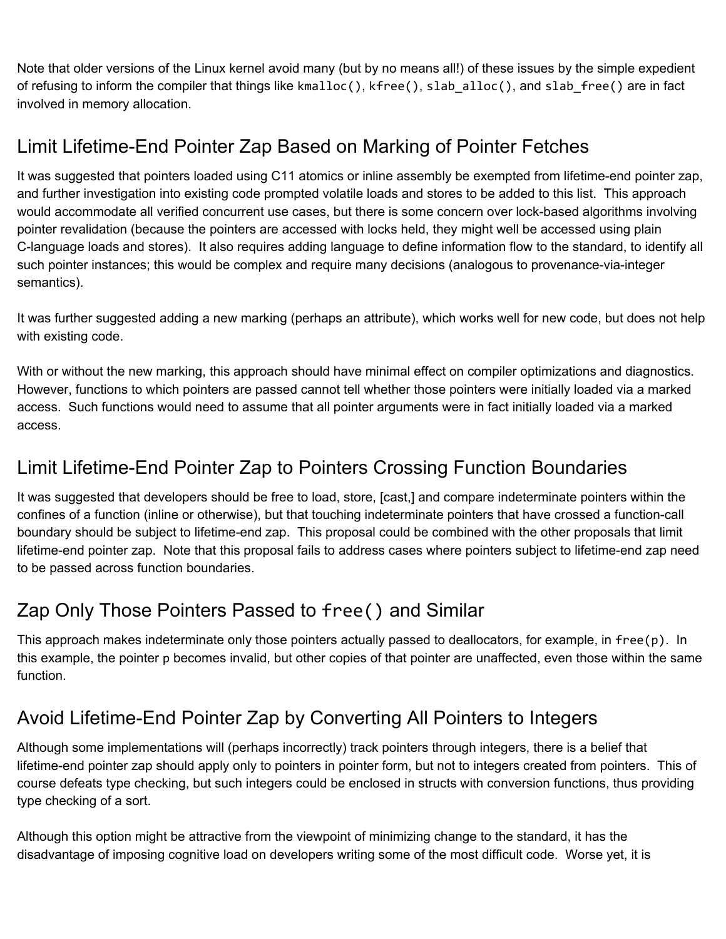Note that older versions of the Linux kernel avoid many (but by no means all!) of these issues by the simple expedient of refusing to inform the compiler that things like kmalloc(), kfree(), slab\_alloc(), and slab\_free() are in fact involved in memory allocation.

## <span id="page-19-0"></span>Limit Lifetime-End Pointer Zap Based on Marking of Pointer Fetches

It was suggested that pointers loaded using C11 atomics or inline assembly be exempted from lifetime-end pointer zap, and further investigation into existing code prompted volatile loads and stores to be added to this list. This approach would accommodate all verified concurrent use cases, but there is some concern over lock-based algorithms involving pointer revalidation (because the pointers are accessed with locks held, they might well be accessed using plain C-language loads and stores). It also requires adding language to define information flow to the standard, to identify all such pointer instances; this would be complex and require many decisions (analogous to provenance-via-integer semantics).

It was further suggested adding a new marking (perhaps an attribute), which works well for new code, but does not help with existing code.

With or without the new marking, this approach should have minimal effect on compiler optimizations and diagnostics. However, functions to which pointers are passed cannot tell whether those pointers were initially loaded via a marked access. Such functions would need to assume that all pointer arguments were in fact initially loaded via a marked access.

### <span id="page-19-1"></span>Limit Lifetime-End Pointer Zap to Pointers Crossing Function Boundaries

It was suggested that developers should be free to load, store, [cast,] and compare indeterminate pointers within the confines of a function (inline or otherwise), but that touching indeterminate pointers that have crossed a function-call boundary should be subject to lifetime-end zap. This proposal could be combined with the other proposals that limit lifetime-end pointer zap. Note that this proposal fails to address cases where pointers subject to lifetime-end zap need to be passed across function boundaries.

## <span id="page-19-2"></span>Zap Only Those Pointers Passed to free() and Similar

This approach makes indeterminate only those pointers actually passed to deallocators, for example, in free(p). In this example, the pointer p becomes invalid, but other copies of that pointer are unaffected, even those within the same function.

## <span id="page-19-3"></span>Avoid Lifetime-End Pointer Zap by Converting All Pointers to Integers

Although some implementations will (perhaps incorrectly) track pointers through integers, there is a belief that lifetime-end pointer zap should apply only to pointers in pointer form, but not to integers created from pointers. This of course defeats type checking, but such integers could be enclosed in structs with conversion functions, thus providing type checking of a sort.

Although this option might be attractive from the viewpoint of minimizing change to the standard, it has the disadvantage of imposing cognitive load on developers writing some of the most difficult code. Worse yet, it is